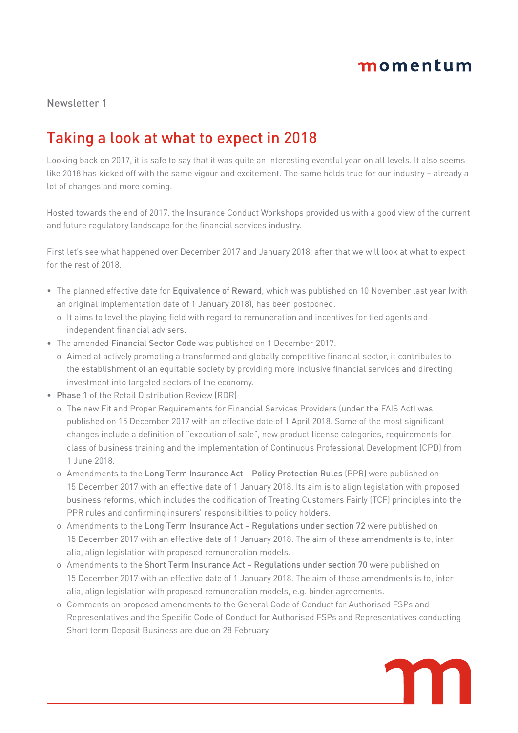## momentum

Newsletter 1

## Taking a look at what to expect in 2018

Looking back on 2017, it is safe to say that it was quite an interesting eventful year on all levels. It also seems like 2018 has kicked off with the same vigour and excitement. The same holds true for our industry – already a lot of changes and more coming.

Hosted towards the end of 2017, the Insurance Conduct Workshops provided us with a good view of the current and future regulatory landscape for the financial services industry.

First let's see what happened over December 2017 and January 2018, after that we will look at what to expect for the rest of 2018.

- The planned effective date for Equivalence of Reward, which was published on 10 November last year (with an original implementation date of 1 January 2018), has been postponed.
	- o It aims to level the playing field with regard to remuneration and incentives for tied agents and independent financial advisers.
- The amended Financial Sector Code was published on 1 December 2017.
	- o Aimed at actively promoting a transformed and globally competitive financial sector, it contributes to the establishment of an equitable society by providing more inclusive financial services and directing investment into targeted sectors of the economy.
- Phase 1 of the Retail Distribution Review (RDR)
	- o The new Fit and Proper Requirements for Financial Services Providers (under the FAIS Act) was published on 15 December 2017 with an effective date of 1 April 2018. Some of the most significant changes include a definition of "execution of sale", new product license categories, requirements for class of business training and the implementation of Continuous Professional Development (CPD) from 1 June 2018.
	- o Amendments to the Long Term Insurance Act Policy Protection Rules (PPR) were published on 15 December 2017 with an effective date of 1 January 2018. Its aim is to align legislation with proposed business reforms, which includes the codification of Treating Customers Fairly (TCF) principles into the PPR rules and confirming insurers' responsibilities to policy holders.
	- o Amendments to the Long Term Insurance Act Regulations under section 72 were published on 15 December 2017 with an effective date of 1 January 2018. The aim of these amendments is to, inter alia, align legislation with proposed remuneration models.
	- o Amendments to the Short Term Insurance Act Regulations under section 70 were published on 15 December 2017 with an effective date of 1 January 2018. The aim of these amendments is to, inter alia, align legislation with proposed remuneration models, e.g. binder agreements.
	- o Comments on proposed amendments to the General Code of Conduct for Authorised FSPs and Representatives and the Specific Code of Conduct for Authorised FSPs and Representatives conducting Short term Deposit Business are due on 28 February